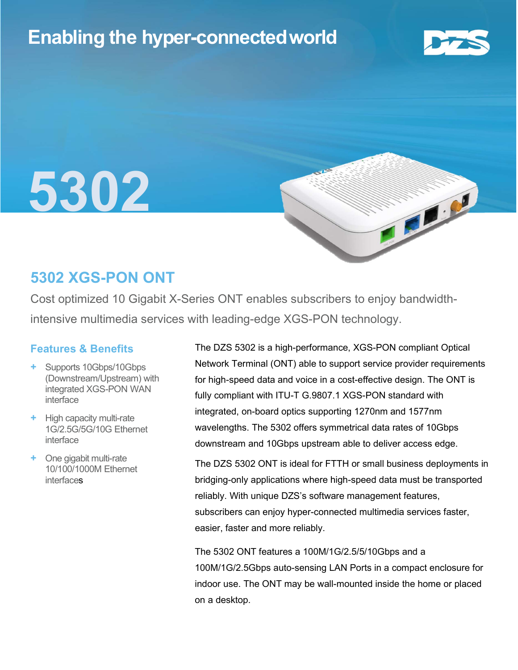## Enabling the hyper-connectedworld



OB

# 5302

## 5302 XGS-PON ONT

Cost optimized 10 Gigabit X-Series ONT enables subscribers to enjoy bandwidthintensive multimedia services with leading-edge XGS-PON technology.

#### Features & Benefits

- + Supports 10Gbps/10Gbps (Downstream/Upstream) with integrated XGS-PON WAN interface
- + High capacity multi-rate 1G/2.5G/5G/10G Ethernet interface
- + One gigabit multi-rate 10/100/1000M Ethernet interfaces

The DZS 5302 is a high-performance, XGS-PON compliant Optical Network Terminal (ONT) able to support service provider requirements for high-speed data and voice in a cost-effective design. The ONT is fully compliant with ITU-T G.9807.1 XGS-PON standard with integrated, on-board optics supporting 1270nm and 1577nm wavelengths. The 5302 offers symmetrical data rates of 10Gbps downstream and 10Gbps upstream able to deliver access edge.

The DZS 5302 ONT is ideal for FTTH or small business deployments in bridging-only applications where high-speed data must be transported reliably. With unique DZS's software management features, subscribers can enjoy hyper-connected multimedia services faster, easier, faster and more reliably.

The 5302 ONT features a 100M/1G/2.5/5/10Gbps and a 100M/1G/2.5Gbps auto-sensing LAN Ports in a compact enclosure for indoor use. The ONT may be wall-mounted inside the home or placed on a desktop.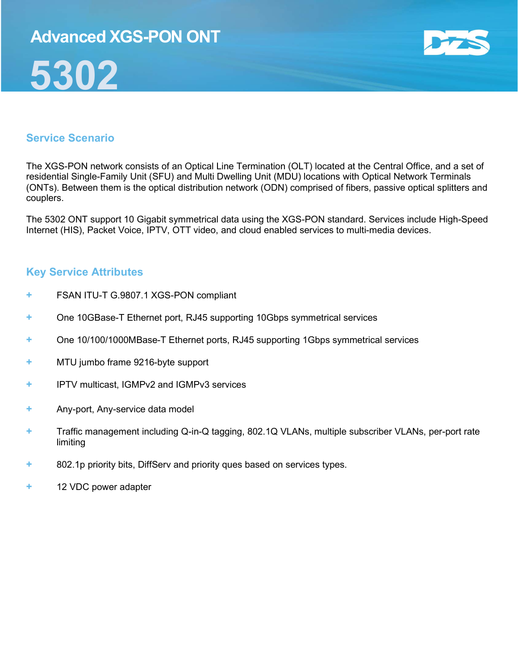## Advanced XGS-PON ONT





#### Service Scenario

The XGS-PON network consists of an Optical Line Termination (OLT) located at the Central Office, and a set of residential Single-Family Unit (SFU) and Multi Dwelling Unit (MDU) locations with Optical Network Terminals (ONTs). Between them is the optical distribution network (ODN) comprised of fibers, passive optical splitters and couplers.

The 5302 ONT support 10 Gigabit symmetrical data using the XGS-PON standard. Services include High-Speed Internet (HIS), Packet Voice, IPTV, OTT video, and cloud enabled services to multi-media devices.

#### Key Service Attributes

- + FSAN ITU-T G.9807.1 XGS-PON compliant
- + One 10GBase-T Ethernet port, RJ45 supporting 10Gbps symmetrical services
- + One 10/100/1000MBase-T Ethernet ports, RJ45 supporting 1Gbps symmetrical services
- + MTU jumbo frame 9216-byte support
- + IPTV multicast, IGMPv2 and IGMPv3 services
- + Any-port, Any-service data model
- + Traffic management including Q-in-Q tagging, 802.1Q VLANs, multiple subscriber VLANs, per-port rate limiting
- + 802.1p priority bits, DiffServ and priority ques based on services types.
- + 12 VDC power adapter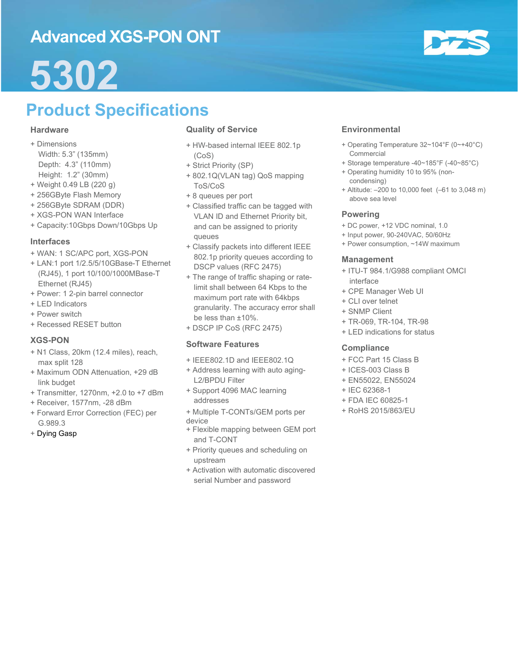## Advanced XGS-PON ONT



## 5302

## Product Specifications

#### **Hardware**

- + Dimensions Width: 5.3" (135mm) Depth: 4.3" (110mm) Height: 1.2" (30mm)
- + Weight 0.49 LB (220 g)
- + 256GByte Flash Memory
- + 256GByte SDRAM (DDR)
- + XGS-PON WAN Interface
- + Capacity:10Gbps Down/10Gbps Up

#### Interfaces

- + WAN: 1 SC/APC port, XGS-PON
- + LAN:1 port 1/2.5/5/10GBase-T Ethernet (RJ45), 1 port 10/100/1000MBase-T Ethernet (RJ45)
- + Power: 1 2-pin barrel connector
- + LED Indicators
- + Power switch
- + Recessed RESET button

#### XGS-PON

- + N1 Class, 20km (12.4 miles), reach, max split 128
- + Maximum ODN Attenuation, +29 dB link budget
- + Transmitter, 1270nm, +2.0 to +7 dBm
- + Receiver, 1577nm, -28 dBm
- + Forward Error Correction (FEC) per G.989.3
- + Dying Gasp

#### Quality of Service

- + HW-based internal IEEE 802.1p (CoS)
- + Strict Priority (SP)
- + 802.1Q(VLAN tag) QoS mapping ToS/CoS
- + 8 queues per port
- + Classified traffic can be tagged with VLAN ID and Ethernet Priority bit, and can be assigned to priority queues
- + Classify packets into different IEEE 802.1p priority queues according to DSCP values (RFC 2475)
- + The range of traffic shaping or ratelimit shall between 64 Kbps to the maximum port rate with 64kbps granularity. The accuracy error shall be less than ±10%.
- + DSCP IP CoS (RFC 2475)

#### Software Features

- + IEEE802.1D and IEEE802.1Q
- + Address learning with auto aging-L2/BPDU Filter
- + Support 4096 MAC learning addresses
- + Multiple T-CONTs/GEM ports per
- device
- + Flexible mapping between GEM port and T-CONT
- + Priority queues and scheduling on upstream
- + Activation with automatic discovered serial Number and password

#### **Environmental**

- + Operating Temperature 32~104°F (0~+40°C) Commercial
- + Storage temperature -40~185°F (-40~85°C)
- + Operating humidity 10 to 95% (noncondensing)
- + Altitude: –200 to 10,000 feet (–61 to 3,048 m) above sea level

#### Powering

- + DC power, +12 VDC nominal, 1.0
- + Input power, 90-240VAC, 50/60Hz
- + Power consumption, ~14W maximum

#### Management

- + ITU-T 984.1/G988 compliant OMCI interface
- + CPE Manager Web UI
- + CLI over telnet
- + SNMP Client
- + TR-069, TR-104, TR-98
- + LED indications for status

#### **Compliance**

- + FCC Part 15 Class B
- + ICES-003 Class B
- + EN55022, EN55024
- + IEC 62368-1
- + FDA IEC 60825-1
- + RoHS 2015/863/EU